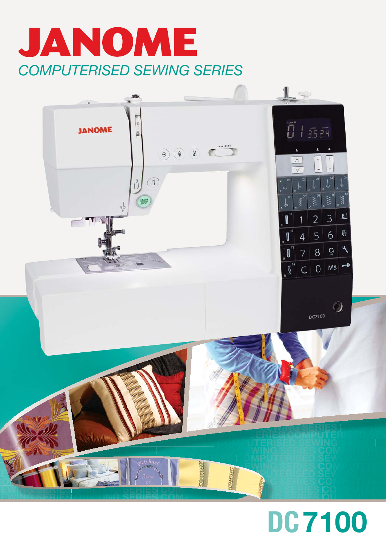



# **DC7100**